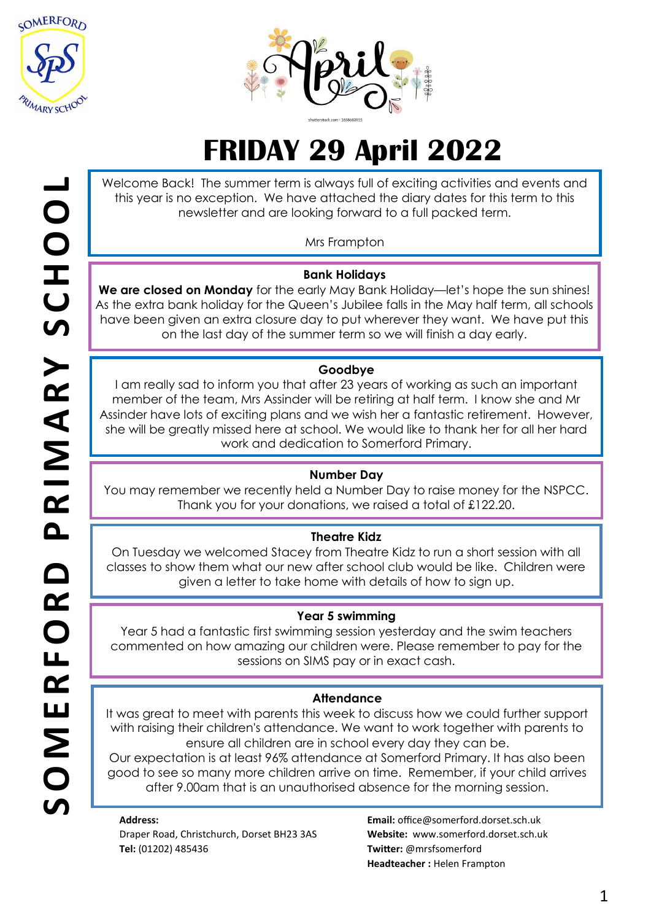



# **FRIDAY 29 April 2022**

Welcome Back! The summer term is always full of exciting activities and events and this year is no exception. We have attached the diary dates for this term to this newsletter and are looking forward to a full packed term.

Mrs Frampton

## **Bank Holidays**

**We are closed on Monday** for the early May Bank Holiday—let's hope the sun shines! As the extra bank holiday for the Queen's Jubilee falls in the May half term, all schools have been given an extra closure day to put wherever they want. We have put this on the last day of the summer term so we will finish a day early.

#### **Goodbye**

I am really sad to inform you that after 23 years of working as such an important member of the team, Mrs Assinder will be retiring at half term. I know she and Mr Assinder have lots of exciting plans and we wish her a fantastic retirement. However, she will be greatly missed here at school. We would like to thank her for all her hard work and dedication to Somerford Primary.

## **Number Day**

You may remember we recently held a Number Day to raise money for the NSPCC. Thank you for your donations, we raised a total of £122.20.

## **Theatre Kidz**

On Tuesday we welcomed Stacey from Theatre Kidz to run a short session with all classes to show them what our new after school club would be like. Children were given a letter to take home with details of how to sign up.

#### **Year 5 swimming**

Year 5 had a fantastic first swimming session yesterday and the swim teachers commented on how amazing our children were. Please remember to pay for the sessions on SIMS pay or in exact cash.

#### **Attendance**

It was great to meet with parents this week to discuss how we could further support with raising their children's attendance. We want to work together with parents to ensure all children are in school every day they can be.

Our expectation is at least 96% attendance at Somerford Primary. It has also been good to see so many more children arrive on time. Remember, if your child arrives after 9.00am that is an unauthorised absence for the morning session.

**Address:**  Draper Road, Christchurch, Dorset BH23 3AS **Tel:** (01202) 485436

**Email:** office@somerford.dorset.sch.uk **Website:** www.somerford.dorset.sch.uk **Twitter:** @mrsfsomerford **Headteacher :** Helen Frampton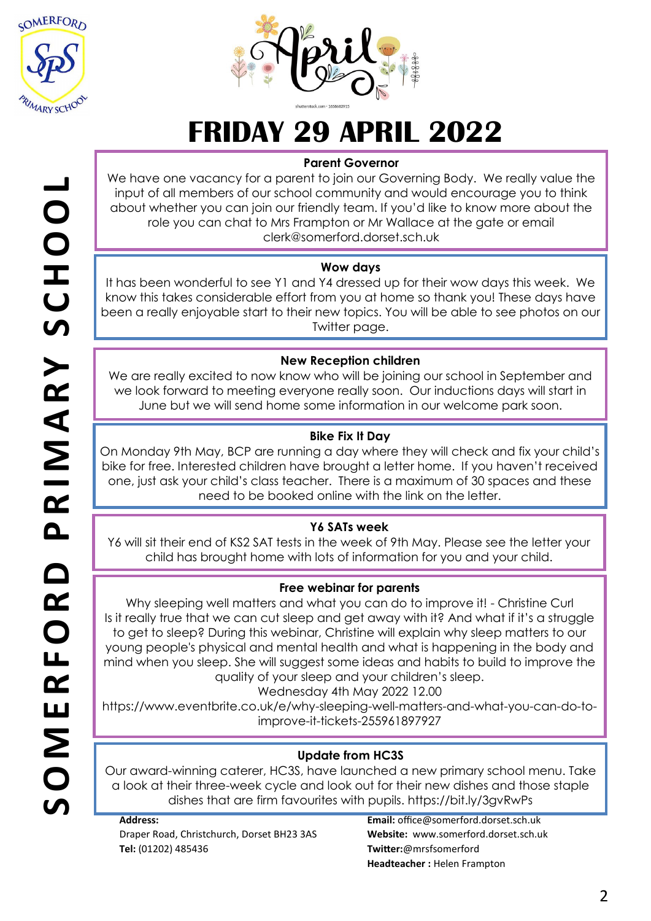



## **FRIDAY 29 APRIL 2022**

## **Parent Governor**

We have one vacancy for a parent to join our Governing Body. We really value the input of all members of our school community and would encourage you to think about whether you can join our friendly team. If you'd like to know more about the role you can chat to Mrs Frampton or Mr Wallace at the gate or email clerk@somerford.dorset.sch.uk

## **Wow days**

It has been wonderful to see Y1 and Y4 dressed up for their wow days this week. We know this takes considerable effort from you at home so thank you! These days have been a really enjoyable start to their new topics. You will be able to see photos on our Twitter page.

## **New Reception children**

We are really excited to now know who will be joining our school in September and we look forward to meeting everyone really soon. Our inductions days will start in June but we will send home some information in our welcome park soon.

## **Bike Fix It Day**

On Monday 9th May, BCP are running a day where they will check and fix your child's bike for free. Interested children have brought a letter home. If you haven't received one, just ask your child's class teacher. There is a maximum of 30 spaces and these need to be booked online with the link on the letter.

## **Y6 SATs week**

Y6 will sit their end of KS2 SAT tests in the week of 9th May. Please see the letter your child has brought home with lots of information for you and your child.

## **Free webinar for parents**

Why sleeping well matters and what you can do to improve it! - Christine Curl Is it really true that we can cut sleep and get away with it? And what if it's a struggle to get to sleep? During this webinar, Christine will explain why sleep matters to our young people's physical and mental health and what is happening in the body and mind when you sleep. She will suggest some ideas and habits to build to improve the quality of your sleep and your children's sleep.

Wednesday 4th May 2022 12.00

https://www.eventbrite.co.uk/e/why-sleeping-well-matters-and-what-you-can-do-toimprove-it-tickets-255961897927

## **Update from HC3S**

Our award-winning caterer, HC3S, have launched a new primary school menu. Take a look at their three-week cycle and look out for their new dishes and those staple dishes that are firm favourites with pupils. https://bit.ly/3gvRwPs

**Address:**  Draper Road, Christchurch, Dorset BH23 3AS **Tel:** (01202) 485436

**Email:** office@somerford.dorset.sch.uk **Website:** www.somerford.dorset.sch.uk **Twitter:**@mrsfsomerford **Headteacher :** Helen Frampton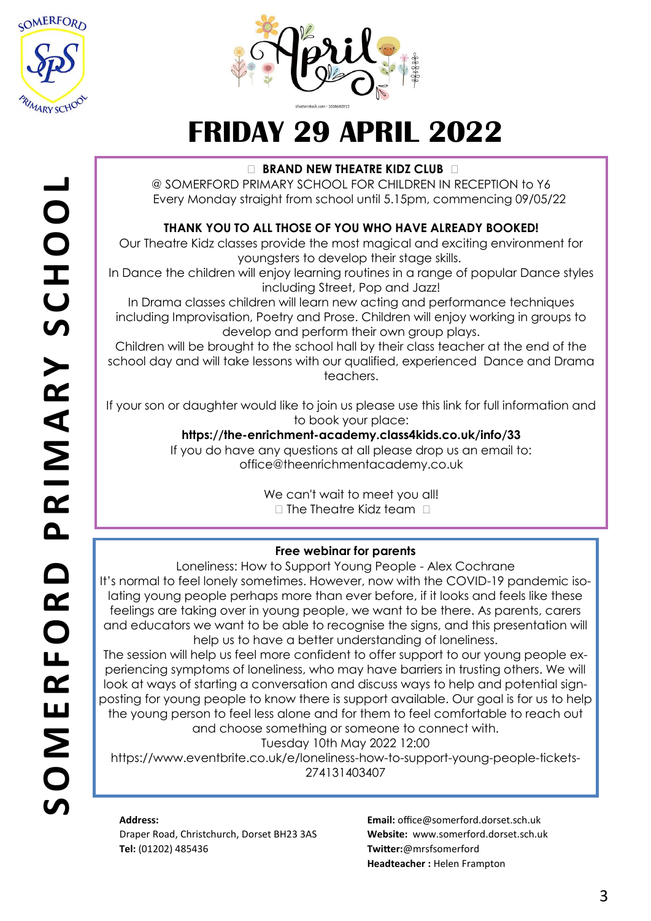



# **FRIDAY 29 APRIL 2022**

## **BRAND NEW THEATRE KIDZ CLUB**

@ SOMERFORD PRIMARY SCHOOL FOR CHILDREN IN RECEPTION to Y6 Every Monday straight from school until 5.15pm, commencing 09/05/22

## **THANK YOU TO ALL THOSE OF YOU WHO HAVE ALREADY BOOKED!**

Our Theatre Kidz classes provide the most magical and exciting environment for youngsters to develop their stage skills.

In Dance the children will enjoy learning routines in a range of popular Dance styles including Street, Pop and Jazz!

In Drama classes children will learn new acting and performance techniques including Improvisation, Poetry and Prose. Children will enjoy working in groups to develop and perform their own group plays.

Children will be brought to the school hall by their class teacher at the end of the school day and will take lessons with our qualified, experienced Dance and Drama teachers.

If your son or daughter would like to join us please use this link for full information and to book your place:

## **https://the-enrichment-academy.class4kids.co.uk/info/33**

If you do have any questions at all please drop us an email to: office@theenrichmentacademy.co.uk

> We can't wait to meet you all!  $\square$  The Theatre Kidz team  $\square$

## **Free webinar for parents**

Loneliness: How to Support Young People - Alex Cochrane It's normal to feel lonely sometimes. However, now with the COVID-19 pandemic isolating young people perhaps more than ever before, if it looks and feels like these feelings are taking over in young people, we want to be there. As parents, carers and educators we want to be able to recognise the signs, and this presentation will help us to have a better understanding of loneliness.

The session will help us feel more confident to offer support to our young people experiencing symptoms of loneliness, who may have barriers in trusting others. We will look at ways of starting a conversation and discuss ways to help and potential signposting for young people to know there is support available. Our goal is for us to help the young person to feel less alone and for them to feel comfortable to reach out and choose something or someone to connect with.

Tuesday 10th May 2022 12:00

https://www.eventbrite.co.uk/e/loneliness-how-to-support-young-people-tickets-274131403407

## **Address:**

Draper Road, Christchurch, Dorset BH23 3AS **Tel:** (01202) 485436

**Email:** office@somerford.dorset.sch.uk **Website:** www.somerford.dorset.sch.uk **Twitter:**@mrsfsomerford **Headteacher :** Helen Frampton